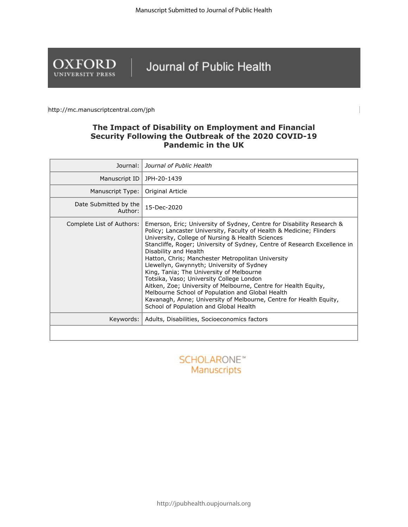

# Journal of Public Health

http://mc.manuscriptcentral.com/jph

## **The Impact of Disability on Employment and Financial Security Following the Outbreak of the 2020 COVID-19 Pandemic in the UK**

| Journal:                         | Journal of Public Health                                                                                                                                                                                                                                                                                                                                                                                                                                                                                                                                                                                                                                                                                                                 |
|----------------------------------|------------------------------------------------------------------------------------------------------------------------------------------------------------------------------------------------------------------------------------------------------------------------------------------------------------------------------------------------------------------------------------------------------------------------------------------------------------------------------------------------------------------------------------------------------------------------------------------------------------------------------------------------------------------------------------------------------------------------------------------|
| Manuscript ID                    | JPH-20-1439                                                                                                                                                                                                                                                                                                                                                                                                                                                                                                                                                                                                                                                                                                                              |
| Manuscript Type:                 | Original Article                                                                                                                                                                                                                                                                                                                                                                                                                                                                                                                                                                                                                                                                                                                         |
| Date Submitted by the<br>Author: | 15-Dec-2020                                                                                                                                                                                                                                                                                                                                                                                                                                                                                                                                                                                                                                                                                                                              |
| Complete List of Authors:        | Emerson, Eric; University of Sydney, Centre for Disability Research &<br>Policy; Lancaster University, Faculty of Health & Medicine; Flinders<br>University, College of Nursing & Health Sciences<br>Stancliffe, Roger; University of Sydney, Centre of Research Excellence in<br>Disability and Health<br>Hatton, Chris; Manchester Metropolitan University<br>Llewellyn, Gwynnyth; University of Sydney<br>King, Tania; The University of Melbourne<br>Totsika, Vaso; University College London<br>Aitken, Zoe; University of Melbourne, Centre for Health Equity,<br>Melbourne School of Population and Global Health<br>Kavanagh, Anne; University of Melbourne, Centre for Health Equity,<br>School of Population and Global Health |
| Keywords:                        | Adults, Disabilities, Socioeconomics factors                                                                                                                                                                                                                                                                                                                                                                                                                                                                                                                                                                                                                                                                                             |
|                                  |                                                                                                                                                                                                                                                                                                                                                                                                                                                                                                                                                                                                                                                                                                                                          |

**SCHOLARONE™** Manuscripts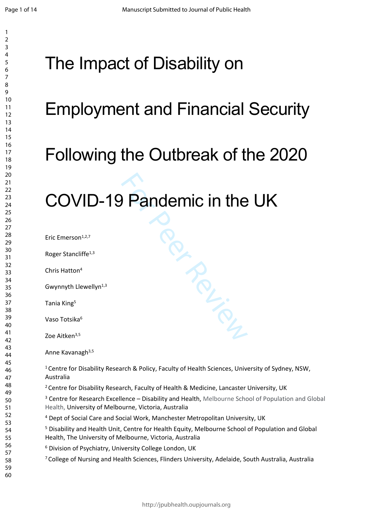$\mathbf{1}$ 

# The Impact of Disability on

# Employment and Financial Security

# Following the Outbreak of the 2020

# COVID-19 Pandemic in the UK

Eric Emerson1,2,7 Roger Stancliffe<sup>1,3</sup> Chris Hatton 4 Gwynnyth Llewellyn<sup>1,3</sup> Tania King 5 Vaso Totsika 6 Zoe Aitken<sup>3,5</sup> Anne Kavanagh<sup>3,5</sup> <sup>1</sup> Centre for Disability Research & Policy, Faculty of Health Sciences, University of Sydney, NSW, Australia <sup>2</sup> Centre for Disability Research, Faculty of Health & Medicine, Lancaster University, UK

<sup>3</sup> Centre for Research Excellence - Disability and Health, Melbourne School of Population and Global Health, University of Melbourne, Victoria, Australia

PRICE RAY

Dept of Social Care and Social Work, Manchester Metropolitan University, UK

<sup>5</sup> Disability and Health Unit, Centre for Health Equity, Melbourne School of Population and Global Health, The University of Melbourne, Victoria, Australia

<sup>6</sup> Division of Psychiatry, University College London, UK

College of Nursing and Health Sciences, Flinders University, Adelaide, South Australia, Australia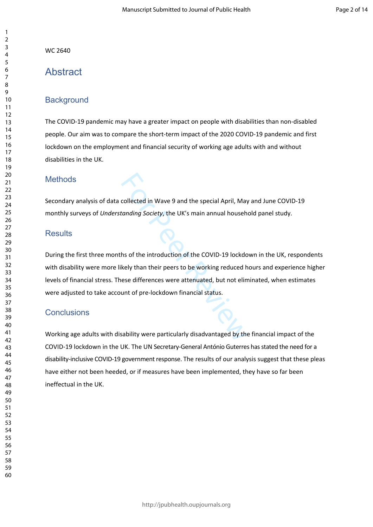WC 2640

# **Abstract**

# **Background**

The COVID-19 pandemic may have a greater impact on people with disabilities than non-disabled people. Our aim was to compare the short-term impact of the 2020 COVID-19 pandemic and first lockdown on the employment and financial security of working age adults with and without disabilities in the UK.

## **Methods**

Secondary analysis of data collected in Wave 9 and the special April, May and June COVID-19 monthly surveys of *Understanding Society*, the UK's main annual household panel study.

## **Results**

collected in Wave 9 and the special April, May<br>tanding Society, the UK's main annual househ<br>hs of the introduction of the COVID-19 lockdo<br>kely than their peers to be working reduced h<br>ese differences were attenuated, but n During the first three months of the introduction of the COVID-19 lockdown in the UK, respondents with disability were more likely than their peers to be working reduced hours and experience higher levels of financial stress. These differences were attenuated, but not eliminated, when estimates were adjusted to take account of pre-lockdown financial status.

# **Conclusions**

Working age adults with disability were particularly disadvantaged by the financial impact of the COVID-19 lockdown in the UK. The UN Secretary-General António Guterres has stated the need for a disability-inclusive COVID-19 government response. The results of our analysis suggest that these pleas have either not been heeded, or if measures have been implemented, they have so far been ineffectual in the UK.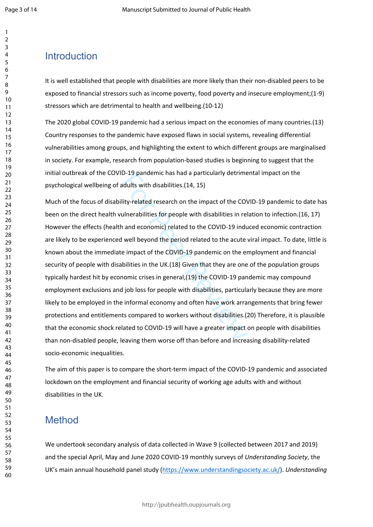# Introduction

It is well established that people with disabilities are more likely than their non-disabled peers to be exposed to financial stressors such as income poverty, food poverty and insecure employment;(1-9) stressors which are detrimental to health and wellbeing.(10-12)

The 2020 global COVID-19 pandemic had a serious impact on the economies of many countries.(13) Country responses to the pandemic have exposed flaws in social systems, revealing differential vulnerabilities among groups, and highlighting the extent to which different groups are marginalised in society. For example, research from population-based studies is beginning to suggest that the initial outbreak of the COVID-19 pandemic has had a particularly detrimental impact on the psychological wellbeing of adults with disabilities.(14, 15)

D-19 pandemic has had a particularly detrime<br>adults with disabilities.(14, 15)<br>lity-related research on the impact of the COV<br>ulnerabilities for people with disabilities in rel<br>n and economic) related to the COVID-19 indu<br> Much of the focus of disability-related research on the impact of the COVID-19 pandemic to date has been on the direct health vulnerabilities for people with disabilities in relation to infection.(16, 17) However the effects (health and economic) related to the COVID-19 induced economic contraction are likely to be experienced well beyond the period related to the acute viral impact. To date, little is known about the immediate impact of the COVID-19 pandemic on the employment and financial security of people with disabilities in the UK.(18) Given that they are one of the population groups typically hardest hit by economic crises in general,(19) the COVID-19 pandemic may compound employment exclusions and job loss for people with disabilities, particularly because they are more likely to be employed in the informal economy and often have work arrangements that bring fewer protections and entitlements compared to workers without disabilities.(20) Therefore, it is plausible that the economic shock related to COVID-19 will have a greater impact on people with disabilities than non-disabled people, leaving them worse off than before and increasing disability-related socio-economic inequalities.

The aim of this paper is to compare the short-term impact of the COVID-19 pandemic and associated lockdown on the employment and financial security of working age adults with and without disabilities in the UK.

# Method

We undertook secondary analysis of data collected in Wave 9 (collected between 2017 and 2019) and the special April, May and June 2020 COVID-19 monthly surveys of *Understanding Society*, the UK's main annual household panel study [\(https://www.understandingsociety.ac.uk/](https://www.understandingsociety.ac.uk/)). *Understanding*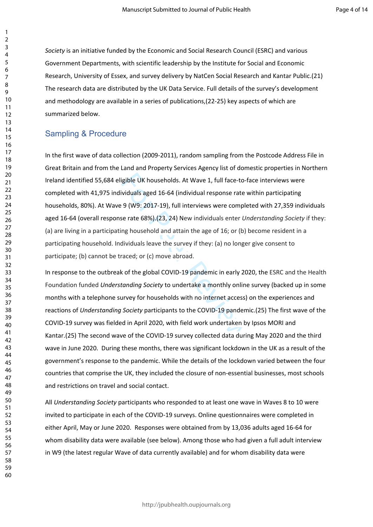*Society* is an initiative funded by the Economic and Social Research Council (ESRC) and various Government Departments, with scientific leadership by the Institute for Social and Economic Research, University of Essex, and survey delivery by NatCen Social Research and Kantar Public.(21) The research data are distributed by the UK Data Service. Full details of the survey's development and methodology are available in a series of publications,(22-25) key aspects of which are summarized below.

### Sampling & Procedure

igible UK households. At Wave 1, full face-to-f<br>ividuals aged 16-64 (individual response rate v<br>9 (W9: 2017-19), full interviews were comple<br>se rate 68%).(23, 24) New individuals enter *Ur*<br>ng household and attain the age In the first wave of data collection (2009-2011), random sampling from the Postcode Address File in Great Britain and from the Land and Property Services Agency list of domestic properties in Northern Ireland identified 55,684 eligible UK households. At Wave 1, full face-to-face interviews were completed with 41,975 individuals aged 16-64 (individual response rate within participating households, 80%). At Wave 9 (W9: 2017-19), full interviews were completed with 27,359 individuals aged 16-64 (overall response rate 68%).(23, 24) New individuals enter *Understanding Society* if they: (a) are living in a participating household and attain the age of 16; or (b) become resident in a participating household. Individuals leave the survey if they: (a) no longer give consent to participate; (b) cannot be traced; or (c) move abroad.

In response to the outbreak of the global COVID-19 pandemic in early 2020, the ESRC and the Health Foundation funded *Understanding Society* to undertake a monthly online survey (backed up in some months with a telephone survey for households with no internet access) on the experiences and reactions of *Understanding Society* participants to the COVID-19 pandemic.(25) The first wave of the COVID-19 survey was fielded in April 2020, with field work undertaken by Ipsos MORI and Kantar.(25) The second wave of the COVID-19 survey collected data during May 2020 and the third wave in June 2020. During these months, there was significant lockdown in the UK as a result of the government's response to the pandemic. While the details of the lockdown varied between the four countries that comprise the UK, they included the closure of non-essential businesses, most schools and restrictions on travel and social contact.

All *Understanding Society* participants who responded to at least one wave in Waves 8 to 10 were invited to participate in each of the COVID-19 surveys. Online questionnaires were completed in either April, May or June 2020. Responses were obtained from by 13,036 adults aged 16-64 for whom disability data were available (see below). Among those who had given a full adult interview in W9 (the latest regular Wave of data currently available) and for whom disability data were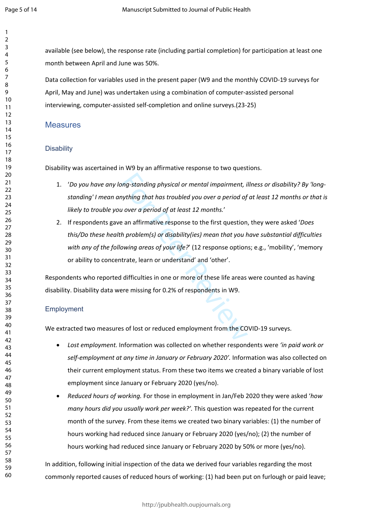available (see below), the response rate (including partial completion) for participation at least one month between April and June was 50%.

Data collection for variables used in the present paper (W9 and the monthly COVID-19 surveys for April, May and June) was undertaken using a combination of computer-assisted personal interviewing, computer-assisted self-completion and online surveys.(23-25)

#### **Measures**

#### **Disability**

Disability was ascertained in W9 by an affirmative response to two questions.

- 1. '*Do you have any long-standing physical or mental impairment, illness or disability? By 'longstanding' I mean anything that has troubled you over a period of at least 12 months or that is likely to trouble you over a period of at least 12 months.*'
- ong-standing physical or mental impairment, in thing that has troubled you over a period of the vero a period of at least 12 months.'<br>
E an affirmative response to the first question in problem(s) or disability(ies) mean t 2. If respondents gave an affirmative response to the first question, they were asked '*Does this/Do these health problem(s) or disability(ies) mean that you have substantial difficulties with any of the following areas of your life?*' (12 response options; e.g., 'mobility', 'memory or ability to concentrate, learn or understand' and 'other'.

Respondents who reported difficulties in one or more of these life areas were counted as having disability. Disability data were missing for 0.2% of respondents in W9.

#### Employment

We extracted two measures of lost or reduced employment from the COVID-19 surveys.

- *Lost employment.* Information was collected on whether respondents were *'in paid work or*  self-employment at any time in January or February 2020'. Information was also collected on their current employment status. From these two items we created a binary variable of lost employment since January or February 2020 (yes/no).
- *Reduced hours of working.* For those in employment in Jan/Feb 2020 they were asked '*how many hours did you usually work per week?'.* This question was repeated for the current month of the survey. From these items we created two binary variables: (1) the number of hours working had reduced since January or February 2020 (yes/no); (2) the number of hours working had reduced since January or February 2020 by 50% or more (yes/no).

In addition, following initial inspection of the data we derived four variables regarding the most commonly reported causes of reduced hours of working: (1) had been put on furlough or paid leave;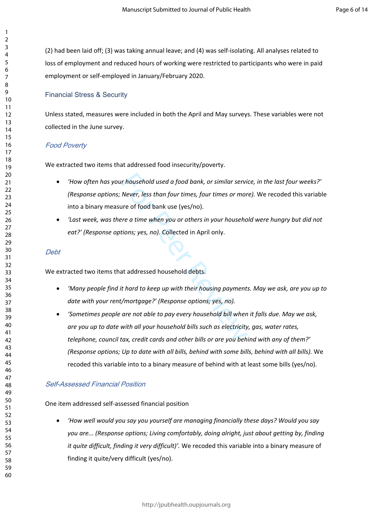(2) had been laid off; (3) was taking annual leave; and (4) was self-isolating. All analyses related to loss of employment and reduced hours of working were restricted to participants who were in paid employment or self-employed in January/February 2020.

#### Financial Stress & Security

Unless stated, measures were included in both the April and May surveys. These variables were not collected in the June survey.

#### *Food Poverty*

We extracted two items that addressed food insecurity/poverty.

- *'How often has your household used a food bank, or similar service, in the last four weeks?' (Response options; Never, less than four times, four times or more).* We recoded this variable into a binary measure of food bank use (yes/no).
- *'Last week, was there a time when you or others in your household were hungry but did not eat?' (Response options; yes, no).* Collected in April only.

#### *Debt*

We extracted two items that addressed household debts.

- *'Many people find it hard to keep up with their housing payments. May we ask, are you up to date with your rent/mortgage?' (Response options; yes, no).*
- r household used a food bank, or similar servi<br>Never, less than four times, four times or mor<br>ure of food bank use (yes/no).<br>Pre a time when you or others in your househo<br>tions; yes, no). Collected in April only.<br>At addres *'Sometimes people are not able to pay every household bill when it falls due. May we ask, are you up to date with all your household bills such as electricity, gas, water rates, telephone, council tax, credit cards and other bills or are you behind with any of them?' (Response options; Up to date with all bills, behind with some bills, behind with all bills).* We recoded this variable into to a binary measure of behind with at least some bills (yes/no).

#### *Self-Assessed Financial Position*

One item addressed self-assessed financial position

 *'How well would you say you yourself are managing financially these days? Would you say you are... (Response options; Living comfortably, doing alright, just about getting by, finding it quite difficult, finding it very difficult)'.* We recoded this variable into a binary measure of finding it quite/very difficult (yes/no).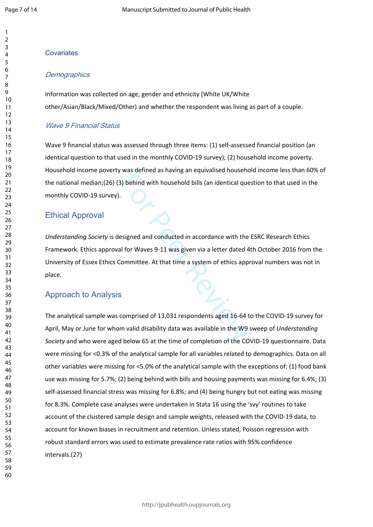# **Covariates**

#### *Demographics*

Information was collected on age, gender and ethnicity (White UK/White other/Asian/Black/Mixed/Other) and whether the respondent was living as part of a couple.

#### *Wave 9 Financial Status*

Wave 9 financial status was assessed through three items: (1) self-assessed financial position (an identical question to that used in the monthly COVID-19 survey); (2) household income poverty. Household income poverty was defined as having an equivalised household income less than 60% of the national median;(26) (3) behind with household bills (an identical question to that used in the monthly COVID-19 survey).

### Ethical Approval

For Petruca and May 2012 per antical questions of the behind with household bills (an identical question)<br>Signed and conducted in accordance with the<br>I for Waves 9-11 was given via a letter dated 4<br>ommittee. At that time a *Understanding Society* is designed and conducted in accordance with the ESRC Research Ethics Framework. Ethics approval for Waves 9-11 was given via a letter dated 4th October 2016 from the University of Essex Ethics Committee. At that time a system of ethics approval numbers was not in place.

## Approach to Analysis

The analytical sample was comprised of 13,031 respondents aged 16-64 to the COVID-19 survey for April, May or June for whom valid disability data was available in the W9 sweep of *Understanding Society* and who were aged below 65 at the time of completion of the COVID-19 questionnaire. Data were missing for <0.3% of the analytical sample for all variables related to demographics. Data on all other variables were missing for <5.0% of the analytical sample with the exceptions of: (1) food bank use was missing for 5.7%; (2) being behind with bills and housing payments was missing for 6.4%; (3) self-assessed financial stress was missing for 6.8%; and (4) being hungry but not eating was missing for 8.3%. Complete case analyses were undertaken in Stata 16 using the 'svy' routines to take account of the clustered sample design and sample weights, released with the COVID-19 data, to account for known biases in recruitment and retention. Unless stated, Poisson regression with robust standard errors was used to estimate prevalence rate ratios with 95% confidence intervals.(27)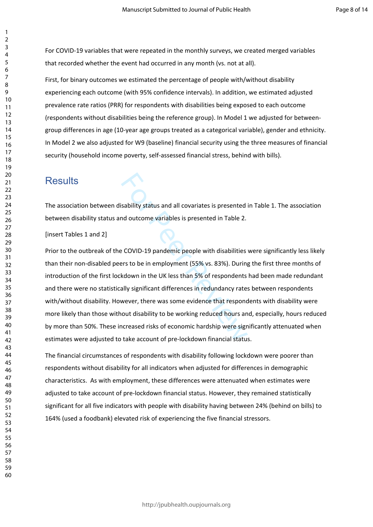For COVID-19 variables that were repeated in the monthly surveys, we created merged variables that recorded whether the event had occurred in any month (vs. not at all).

First, for binary outcomes we estimated the percentage of people with/without disability experiencing each outcome (with 95% confidence intervals). In addition, we estimated adjusted prevalence rate ratios (PRR) for respondents with disabilities being exposed to each outcome (respondents without disabilities being the reference group). In Model 1 we adjusted for betweengroup differences in age (10-year age groups treated as a categorical variable), gender and ethnicity. In Model 2 we also adjusted for W9 (baseline) financial security using the three measures of financial security (household income poverty, self-assessed financial stress, behind with bills).

# **Results**

The association between disability status and all covariates is presented in Table 1. The association between disability status and outcome variables is presented in Table 2.

[insert Tables 1 and 2]

Sability status and all covariates is presented<br>
and outcome variables is presented in Table 2.<br>
Per COVID-19 pandemic people with disabilities<br>
For Sole in employment (55% vs. 83%). During<br>
kdown in the UK less than 5% of Prior to the outbreak of the COVID-19 pandemic people with disabilities were significantly less likely than their non-disabled peers to be in employment (55% vs. 83%). During the first three months of introduction of the first lockdown in the UK less than 5% of respondents had been made redundant and there were no statistically significant differences in redundancy rates between respondents with/without disability. However, there was some evidence that respondents with disability were more likely than those without disability to be working reduced hours and, especially, hours reduced by more than 50%. These increased risks of economic hardship were significantly attenuated when estimates were adjusted to take account of pre-lockdown financial status.

The financial circumstances of respondents with disability following lockdown were poorer than respondents without disability for all indicators when adjusted for differences in demographic characteristics. As with employment, these differences were attenuated when estimates were adjusted to take account of pre-lockdown financial status. However, they remained statistically significant for all five indicators with people with disability having between 24% (behind on bills) to 164% (used a foodbank) elevated risk of experiencing the five financial stressors.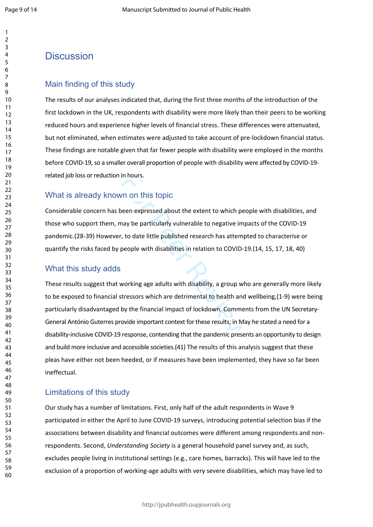# **Discussion**

#### Main finding of this study

The results of our analyses indicated that, during the first three months of the introduction of the first lockdown in the UK, respondents with disability were more likely than their peers to be working reduced hours and experience higher levels of financial stress. These differences were attenuated, but not eliminated, when estimates were adjusted to take account of pre-lockdown financial status. These findings are notable given that far fewer people with disability were employed in the months before COVID-19, so a smaller overall proportion of people with disability were affected by COVID-19 related job loss or reduction in hours.

## What is already known on this topic

Considerable concern has been expressed about the extent to which people with disabilities, and those who support them, may be particularly vulnerable to negative impacts of the COVID-19 pandemic.(28-39) However, to date little published research has attempted to characterise or quantify the risks faced by people with disabilities in relation to COVID-19.(14, 15, 17, 18, 40)

#### What this study adds

in hours.<br>
10 on this topic<br>
10 on this topic<br>
10 or expressed about the extent to which pec<br>
10 or extend to megative imp<br>
10 to date little published research has attempt<br>
10 people with disabilities in relation to COVID These results suggest that working age adults with disability, a group who are generally more likely to be exposed to financial stressors which are detrimental to health and wellbeing,(1-9) were being particularly disadvantaged by the financial impact of lockdown. Comments from the UN Secretary-General António Guterres provide important context for these results; in May he stated a need for a disability-inclusive COVID-19 response, contending that the pandemic presents an opportunity to design and build more inclusive and accessible societies.(41) The results of this analysis suggest that these pleas have either not been heeded, or if measures have been implemented, they have so far been ineffectual.

### Limitations of this study

Our study has a number of limitations. First, only half of the adult respondents in Wave 9 participated in either the April to June COVID-19 surveys, introducing potential selection bias if the associations between disability and financial outcomes were different among respondents and nonrespondents. Second, *Understanding Society* is a general household panel survey and, as such, excludes people living in institutional settings (e.g., care homes, barracks). This will have led to the exclusion of a proportion of working-age adults with very severe disabilities, which may have led to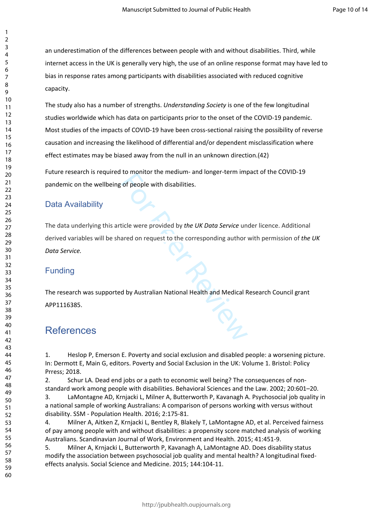an underestimation of the differences between people with and without disabilities. Third, while internet access in the UK is generally very high, the use of an online response format may have led to bias in response rates among participants with disabilities associated with reduced cognitive capacity.

The study also has a number of strengths. *Understanding Society* is one of the few longitudinal studies worldwide which has data on participants prior to the onset of the COVID-19 pandemic. Most studies of the impacts of COVID-19 have been cross-sectional raising the possibility of reverse causation and increasing the likelihood of differential and/or dependent misclassification where effect estimates may be biased away from the null in an unknown direction.(42)

Future research is required to monitor the medium- and longer-term impact of the COVID-19 pandemic on the wellbeing of people with disabilities.

## Data Availability

For People with disabilities.<br>
Sof people with disabilities.<br>
Experience with disabilities.<br>
The UK Data Service under and on request to the corresponding author<br>
A do by Australian National Health and Medical F The data underlying this article were provided by *the UK Data Service* under licence. Additional derived variables will be shared on request to the corresponding author with permission of *the UK Data Service.*

### Funding

The research was supported by Australian National Health and Medical Research Council grant APP1116385.

# References

1. Heslop P, Emerson E. Poverty and social exclusion and disabled people: a worsening picture. In: Dermott E, Main G, editors. Poverty and Social Exclusion in the UK: Volume 1. Bristol: Policy Prress; 2018.

2. Schur LA. Dead end jobs or a path to economic well being? The consequences of nonstandard work among people with disabilities. Behavioral Sciences and the Law. 2002; 20:601–20.

3. LaMontagne AD, Krnjacki L, Milner A, Butterworth P, Kavanagh A. Psychosocial job quality in a national sample of working Australians: A comparison of persons working with versus without disability. SSM - Population Health. 2016; 2:175-81.

4. Milner A, Aitken Z, Krnjacki L, Bentley R, Blakely T, LaMontagne AD, et al. Perceived fairness of pay among people with and without disabilities: a propensity score matched analysis of working Australians. Scandinavian Journal of Work, Environment and Health. 2015; 41:451-9.

5. Milner A, Krnjacki L, Butterworth P, Kavanagh A, LaMontagne AD. Does disability status modify the association between psychosocial job quality and mental health? A longitudinal fixedeffects analysis. Social Science and Medicine. 2015; 144:104-11.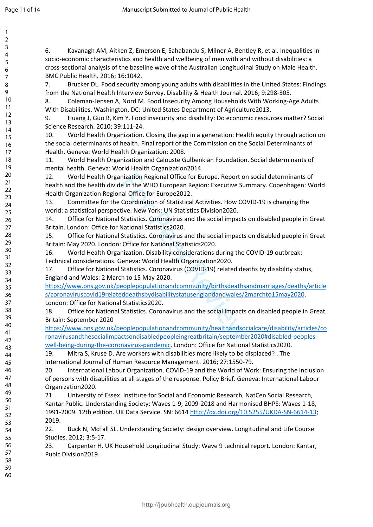$\mathbf{1}$ 

60

6. Kavanagh AM, Aitken Z, Emerson E, Sahabandu S, Milner A, Bentley R, et al. Inequalities in socio-economic characteristics and health and wellbeing of men with and without disabilities: a cross-sectional analysis of the baseline wave of the Australian Longitudinal Study on Male Health. BMC Public Health. 2016; 16:1042.

7. Brucker DL. Food security among young adults with disabilities in the United States: Findings from the National Health Interview Survey. Disability & Health Journal. 2016; 9:298-305.

8. Coleman-Jensen A, Nord M. Food Insecurity Among Households With Working-Age Adults With Disabilities. Washington, DC: United States Department of Agriculture2013.

9. Huang J, Guo B, Kim Y. Food insecurity and disability: Do economic resources matter? Social Science Research. 2010; 39:111-24.

10. World Health Organization. Closing the gap in a generation: Health equity through action on the social determinants of health. Final report of the Commission on the Social Determinants of Health. Geneva: World Health Organization; 2008.

11. World Health Organization and Calouste Gulbenkian Foundation. Social determinants of mental health. Geneva: World Health Organization2014.

nization Regional Office for Europe. Report on<br>
e in the WHO European Region: Executive Sur<br>
al Office for Europe2012.<br>
Coordination of Statistical Activities. How COV<br>
tive. New York: UN Statistics Division2020.<br>
Statisti 12. World Health Organization Regional Office for Europe. Report on social determinants of health and the health divide in the WHO European Region: Executive Summary. Copenhagen: World Health Organization Regional Office for Europe2012.

13. Committee for the Coordination of Statistical Activities. How COVID-19 is changing the world: a statistical perspective. New York: UN Statistics Division2020.

14. Office for National Statistics. Coronavirus and the social impacts on disabled people in Great Britain. London: Office for National Statistics2020.

15. Office for National Statistics. Coronavirus and the social impacts on disabled people in Great Britain: May 2020. London: Office for National Statistics2020.

16. World Health Organization. Disability considerations during the COVID-19 outbreak:

Technical considerations. Geneva: World Health Organization2020.

17. Office for National Statistics. Coronavirus (COVID-19) related deaths by disability status, England and Wales: 2 March to 15 May 2020.

[https://www.ons.gov.uk/peoplepopulationandcommunity/birthsdeathsandmarriages/deaths/article](https://www.ons.gov.uk/peoplepopulationandcommunity/birthsdeathsandmarriages/deaths/articles/coronaviruscovid19relateddeathsbydisabilitystatusenglandandwales/2marchto15may2020) [s/coronaviruscovid19relateddeathsbydisabilitystatusenglandandwales/2marchto15may2020](https://www.ons.gov.uk/peoplepopulationandcommunity/birthsdeathsandmarriages/deaths/articles/coronaviruscovid19relateddeathsbydisabilitystatusenglandandwales/2marchto15may2020). London: Office for National Statistics2020.

18. Office for National Statistics. Coronavirus and the social impacts on disabled people in Great Britain: September 2020

[https://www.ons.gov.uk/peoplepopulationandcommunity/healthandsocialcare/disability/articles/co](https://www.ons.gov.uk/peoplepopulationandcommunity/healthandsocialcare/disability/articles/coronavirusandthesocialimpactsondisabledpeopleingreatbritain/september2020#disabled-peoples-well-being-during-the-coronavirus-pandemic) [ronavirusandthesocialimpactsondisabledpeopleingreatbritain/september2020#disabled-peoples](https://www.ons.gov.uk/peoplepopulationandcommunity/healthandsocialcare/disability/articles/coronavirusandthesocialimpactsondisabledpeopleingreatbritain/september2020#disabled-peoples-well-being-during-the-coronavirus-pandemic)[well-being-during-the-coronavirus-pandemic](https://www.ons.gov.uk/peoplepopulationandcommunity/healthandsocialcare/disability/articles/coronavirusandthesocialimpactsondisabledpeopleingreatbritain/september2020#disabled-peoples-well-being-during-the-coronavirus-pandemic). London: Office for National Statistics2020.

19. Mitra S, Kruse D. Are workers with disabilities more likely to be displaced? . The International Journal of Human Resource Management. 2016; 27:1550-79.

20. International Labour Organization. COVID-19 and the World of Work: Ensuring the inclusion of persons with disabilities at all stages of the response. Policy Brief. Geneva: International Labour Organization2020.

21. University of Essex. Institute for Social and Economic Research, NatCen Social Research, Kantar Public. Understanding Society: Waves 1-9, 2009-2018 and Harmonised BHPS: Waves 1-18, 1991-2009. 12th edition. UK Data Service. SN: 6614 <http://dx.doi.org/10.5255/UKDA-SN-6614-13>; 2019.

22. Buck N, McFall SL. Understanding Society: design overview. Longitudinal and Life Course Studies. 2012; 3:5-17.

23. Carpenter H. UK Household Longitudinal Study: Wave 9 technical report. London: Kantar, Publc Division2019.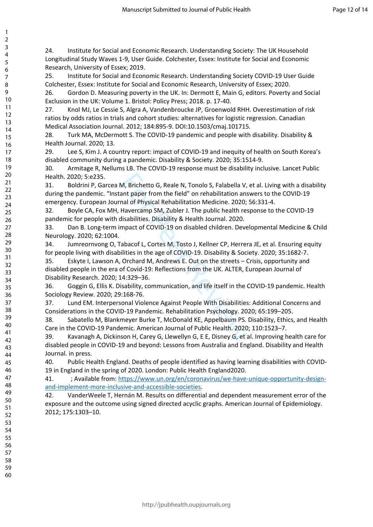24. Institute for Social and Economic Research. Understanding Society: The UK Household Longitudinal Study Waves 1-9, User Guide. Colchester, Essex: Institute for Social and Economic Research, University of Essex; 2019.

25. Institute for Social and Economic Research. Understanding Society COVID-19 User Guide Colchester, Essex: Institute for Social and Economic Research, University of Essex; 2020.

26. Gordon D. Measuring poverty in the UK. In: Dermott E, Main G, editors. Poverty and Social Exclusion in the UK: Volume 1. Bristol: Policy Press; 2018. p. 17-40.

27. Knol MJ, Le Cessie S, Algra A, Vandenbroucke JP, Groenwold RHH. Overestimation of risk ratios by odds ratios in trials and cohort studies: alternatives for logistic regression. Canadian Medical Association Journal. 2012; 184:895-9. DOI:10.1503/cmaj.101715.

28. Turk MA, McDermott S. The COVID-19 pandemic and people with disability. Disability & Health Journal. 2020; 13.

29. Lee S, Kim J. A country report: impact of COVID-19 and inequity of health on South Korea's disabled community during a pandemic. Disability & Society. 2020; 35:1514-9.

30. Armitage R, Nellums LB. The COVID-19 response must be disability inclusive. Lancet Public Health. 2020; 5:e235.

M, Brichetto G, Reale N, Tonolo S, Falabella V,<br>ant paper from the field" on rehabilitation ans<br>anal of Physical Rehabilitation Medicine. 2020;<br>Havercamp SM, Zubler J. The public health res<br>lisabilities. Disability & Healt 31. Boldrini P, Garcea M, Brichetto G, Reale N, Tonolo S, Falabella V, et al. Living with a disability during the pandemic. "Instant paper from the field" on rehabilitation answers to the COVID-19 emergency. European Journal of Physical Rehabilitation Medicine. 2020; 56:331-4.

32. Boyle CA, Fox MH, Havercamp SM, Zubler J. The public health response to the COVID-19 pandemic for people with disabilities. Disability & Health Journal. 2020.

33. Dan B. Long-term impact of COVID-19 on disabled children. Developmental Medicine & Child Neurology. 2020; 62:1004.

34. Jumreornvong O, Tabacof L, Cortes M, Tosto J, Kellner CP, Herrera JE, et al. Ensuring equity for people living with disabilities in the age of COVID-19. Disability & Society. 2020; 35:1682-7.

35. Eskyte I, Lawson A, Orchard M, Andrews E. Out on the streets – Crisis, opportunity and disabled people in the era of Covid-19: Reflections from the UK. ALTER, European Journal of Disability Research. 2020; 14:329–36.

36. Goggin G, Ellis K. Disability, communication, and life itself in the COVID-19 pandemic. Health Sociology Review. 2020; 29:168-76.

37. Lund EM. Interpersonal Violence Against People With Disabilities: Additional Concerns and Considerations in the COVID-19 Pandemic. Rehabilitation Psychology. 2020; 65:199–205.

38. Sabatello M, Blankmeyer Burke T, McDonald KE, Appelbaum PS. Disability, Ethics, and Health Care in the COVID-19 Pandemic. American Journal of Public Health. 2020; 110:1523–7.

39. Kavanagh A, Dickinson H, Carey G, Llewellyn G, E E, Disney G, et al. Improving health care for disabled people in COVID-19 and beyond: Lessons from Australia and England. Disability and Health Journal. in press.

40. Public Health England. Deaths of people identified as having learning disabilities with COVID-19 in England in the spring of 2020. London: Public Health England2020.

41. ; Available from: [https://www.un.org/en/coronavirus/we-have-unique-opportunity-design](https://www.un.org/en/coronavirus/we-have-unique-opportunity-design-and-implement-more-inclusive-and-accessible-societies)[and-implement-more-inclusive-and-accessible-societies.](https://www.un.org/en/coronavirus/we-have-unique-opportunity-design-and-implement-more-inclusive-and-accessible-societies)

42. VanderWeele T, Hernán M. Results on differential and dependent measurement error of the exposure and the outcome using signed directed acyclic graphs. American Journal of Epidemiology. 2012; 175:1303–10.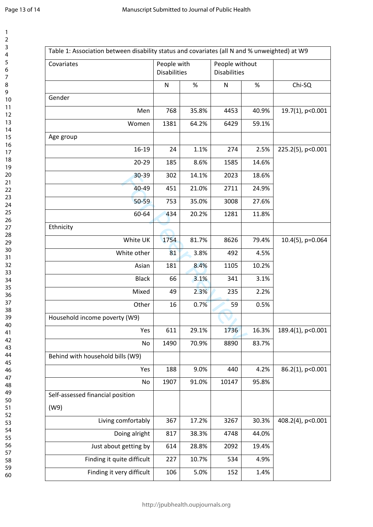123456789

 $\mathbf{1}$  $\overline{2}$  $\overline{3}$  $\overline{4}$ 5 6  $\overline{7}$ 8 9

| Covariates                       | People with<br><b>Disabilities</b> |       | People without<br><b>Disabilities</b> |       |                     |
|----------------------------------|------------------------------------|-------|---------------------------------------|-------|---------------------|
|                                  | ${\sf N}$                          | $\%$  | $\mathsf{N}$                          | %     | Chi-SQ              |
| Gender                           |                                    |       |                                       |       |                     |
| Men                              | 768                                | 35.8% | 4453                                  | 40.9% | 19.7(1), p<0.001    |
| Women                            | 1381                               | 64.2% | 6429                                  | 59.1% |                     |
| Age group                        |                                    |       |                                       |       |                     |
| $16 - 19$                        | 24                                 | 1.1%  | 274                                   | 2.5%  | 225.2(5), p<0.001   |
| $20 - 29$                        | 185                                | 8.6%  | 1585                                  | 14.6% |                     |
| 30-39                            | 302                                | 14.1% | 2023                                  | 18.6% |                     |
| 40-49                            | 451                                | 21.0% | 2711                                  | 24.9% |                     |
| 50-59                            | 753                                | 35.0% | 3008                                  | 27.6% |                     |
| 60-64                            | 434                                | 20.2% | 1281                                  | 11.8% |                     |
| Ethnicity                        |                                    |       |                                       |       |                     |
| White UK                         | 1754                               | 81.7% | 8626                                  | 79.4% | $10.4(5)$ , p=0.064 |
| White other                      | 81                                 | 3.8%  | 492                                   | 4.5%  |                     |
| Asian                            | 181                                | 8.4%  | 1105                                  | 10.2% |                     |
| <b>Black</b>                     | 66                                 | 3.1%  | 341                                   | 3.1%  |                     |
| Mixed                            | 49                                 | 2.3%  | 235                                   | 2.2%  |                     |
| Other                            | 16                                 | 0.7%  | 59                                    | 0.5%  |                     |
| Household income poverty (W9)    |                                    |       |                                       |       |                     |
| Yes                              | 611                                | 29.1% | 1736                                  | 16.3% | 189.4(1), p<0.001   |
| No                               | 1490                               | 70.9% | 8890                                  | 83.7% |                     |
| Behind with household bills (W9) |                                    |       |                                       |       |                     |
| Yes                              | 188                                | 9.0%  | 440                                   | 4.2%  | 86.2(1), p<0.001    |
| No                               | 1907                               | 91.0% | 10147                                 | 95.8% |                     |
| Self-assessed financial position |                                    |       |                                       |       |                     |
| (W9)                             |                                    |       |                                       |       |                     |
| Living comfortably               | 367                                | 17.2% | 3267                                  | 30.3% | 408.2(4), p<0.001   |
| Doing alright                    | 817                                | 38.3% | 4748                                  | 44.0% |                     |
| Just about getting by            | 614                                | 28.8% | 2092                                  | 19.4% |                     |
| Finding it quite difficult       | 227                                | 10.7% | 534                                   | 4.9%  |                     |
| Finding it very difficult        | 106                                | 5.0%  | 152                                   | 1.4%  |                     |